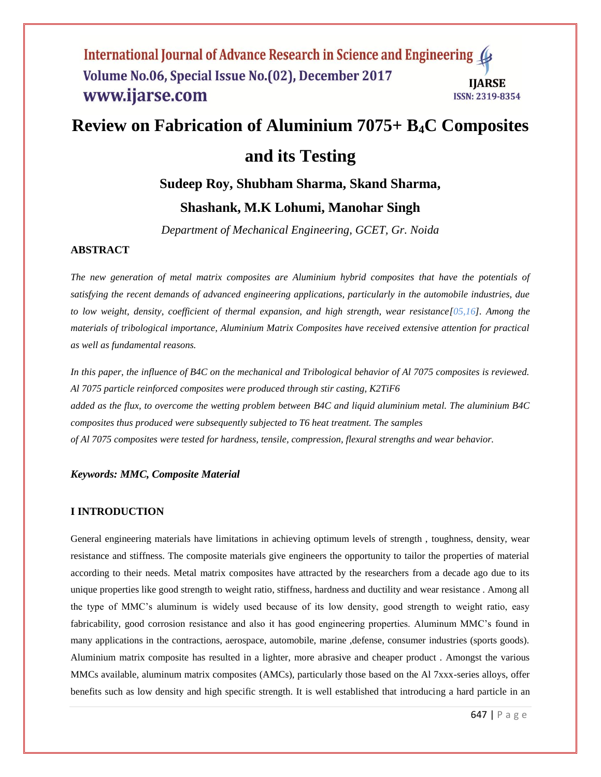# **Review on Fabrication of Aluminium 7075+ B4C Composites**

## **and its Testing**

## **Sudeep Roy, Shubham Sharma, Skand Sharma,**

## **Shashank, M.K Lohumi, Manohar Singh**

*Department of Mechanical Engineering, GCET, Gr. Noida*

## **ABSTRACT**

*The new generation of metal matrix composites are Aluminium hybrid composites that have the potentials of satisfying the recent demands of advanced engineering applications, particularly in the automobile industries, due to low weight, density, coefficient of thermal expansion, and high strength, wear resistance*[05,16]. Among the *materials of tribological importance, Aluminium Matrix Composites have received extensive attention for practical as well as fundamental reasons.* 

In this paper, the influence of B4C on the mechanical and Tribological behavior of Al 7075 composites is reviewed. *Al 7075 particle reinforced composites were produced through stir casting, K2TiF6 added as the flux, to overcome the wetting problem between B4C and liquid aluminium metal. The aluminium B4C composites thus produced were subsequently subjected to T6 heat treatment. The samples of Al 7075 composites were tested for hardness, tensile, compression, flexural strengths and wear behavior.*

## *Keywords: MMC, Composite Material*

#### **I INTRODUCTION**

General engineering materials have limitations in achieving optimum levels of strength , toughness, density, wear resistance and stiffness. The composite materials give engineers the opportunity to tailor the properties of material according to their needs. Metal matrix composites have attracted by the researchers from a decade ago due to its unique properties like good strength to weight ratio, stiffness, hardness and ductility and wear resistance . Among all the type of MMC's aluminum is widely used because of its low density, good strength to weight ratio, easy fabricability, good corrosion resistance and also it has good engineering properties. Aluminum MMC's found in many applications in the contractions, aerospace, automobile, marine ,defense, consumer industries (sports goods). Aluminium matrix composite has resulted in a lighter, more abrasive and cheaper product . Amongst the various MMCs available, aluminum matrix composites (AMCs), particularly those based on the Al 7xxx-series alloys, offer benefits such as low density and high specific strength. It is well established that introducing a hard particle in an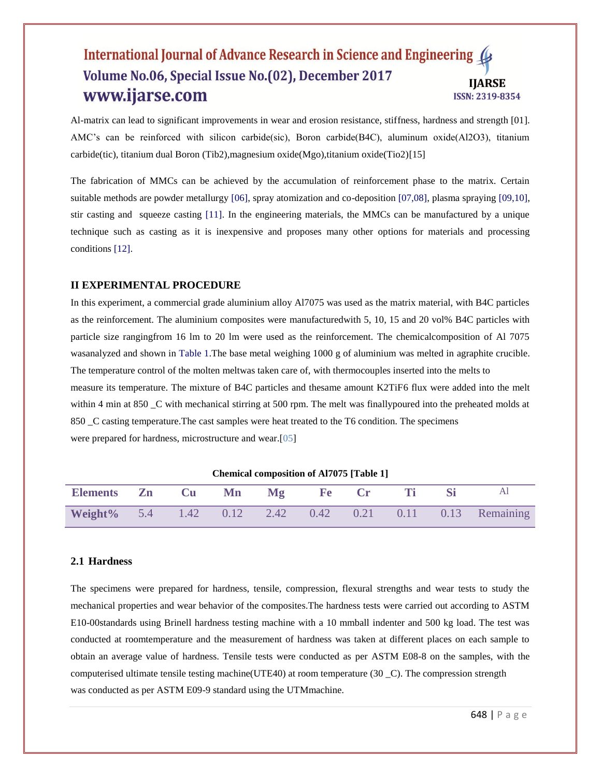Al-matrix can lead to significant improvements in wear and erosion resistance, stiffness, hardness and strength [01]. AMC's can be reinforced with silicon carbide(sic), Boron carbide(B4C), aluminum oxide(Al2O3), titanium carbide(tic), titanium dual Boron (Tib2),magnesium oxide(Mgo),titanium oxide(Tio2)[15]

The fabrication of MMCs can be achieved by the accumulation of reinforcement phase to the matrix. Certain suitable methods are powder metallurgy [06], spray atomization and co-deposition [07,08], plasma spraying [09,10], stir casting and squeeze casting [11]. In the engineering materials, the MMCs can be manufactured by a unique technique such as casting as it is inexpensive and proposes many other options for materials and processing conditions [12].

#### **II EXPERIMENTAL PROCEDURE**

In this experiment, a commercial grade aluminium alloy Al7075 was used as the matrix material, with B4C particles as the reinforcement. The aluminium composites were manufacturedwith 5, 10, 15 and 20 vol% B4C particles with particle size rangingfrom 16 lm to 20 lm were used as the reinforcement. The chemicalcomposition of Al 7075 wasanalyzed and shown in Table 1.The base metal weighing 1000 g of aluminium was melted in agraphite crucible. The temperature control of the molten meltwas taken care of, with thermocouples inserted into the melts to measure its temperature. The mixture of B4C particles and thesame amount K2TiF6 flux were added into the melt within 4 min at 850 \_C with mechanical stirring at 500 rpm. The melt was finallypoured into the preheated molds at 850 \_C casting temperature.The cast samples were heat treated to the T6 condition. The specimens were prepared for hardness, microstructure and wear.[05]

| <b>Chemical composition of Al7075 [Table 1]</b> |    |       |  |    |                    |  |  |  |                               |
|-------------------------------------------------|----|-------|--|----|--------------------|--|--|--|-------------------------------|
| <b>Elements</b>                                 | Zn | Cu Mn |  | Mg | <b>Fecution</b> Cr |  |  |  |                               |
| Weight% 5.4 1.42 0.12 2.42                      |    |       |  |    |                    |  |  |  | 0.42 0.21 0.11 0.13 Remaining |

#### **2.1 Hardness**

The specimens were prepared for hardness, tensile, compression, flexural strengths and wear tests to study the mechanical properties and wear behavior of the composites.The hardness tests were carried out according to ASTM E10-00standards using Brinell hardness testing machine with a 10 mmball indenter and 500 kg load. The test was conducted at roomtemperature and the measurement of hardness was taken at different places on each sample to obtain an average value of hardness. Tensile tests were conducted as per ASTM E08-8 on the samples, with the computerised ultimate tensile testing machine(UTE40) at room temperature (30 \_C). The compression strength was conducted as per ASTM E09-9 standard using the UTMmachine.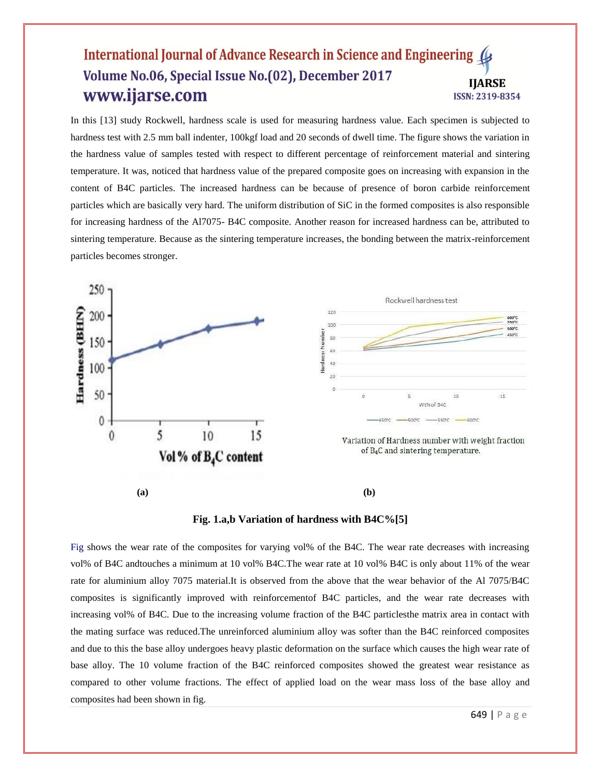In this [13] study Rockwell, hardness scale is used for measuring hardness value. Each specimen is subjected to hardness test with 2.5 mm ball indenter, 100kgf load and 20 seconds of dwell time. The figure shows the variation in the hardness value of samples tested with respect to different percentage of reinforcement material and sintering temperature. It was, noticed that hardness value of the prepared composite goes on increasing with expansion in the content of B4C particles. The increased hardness can be because of presence of boron carbide reinforcement particles which are basically very hard. The uniform distribution of SiC in the formed composites is also responsible for increasing hardness of the Al7075- B4C composite. Another reason for increased hardness can be, attributed to sintering temperature. Because as the sintering temperature increases, the bonding between the matrix-reinforcement particles becomes stronger.





Fig shows the wear rate of the composites for varying vol% of the B4C. The wear rate decreases with increasing vol% of B4C andtouches a minimum at 10 vol% B4C.The wear rate at 10 vol% B4C is only about 11% of the wear rate for aluminium alloy 7075 material.It is observed from the above that the wear behavior of the Al 7075/B4C composites is significantly improved with reinforcementof B4C particles, and the wear rate decreases with increasing vol% of B4C. Due to the increasing volume fraction of the B4C particlesthe matrix area in contact with the mating surface was reduced.The unreinforced aluminium alloy was softer than the B4C reinforced composites and due to this the base alloy undergoes heavy plastic deformation on the surface which causes the high wear rate of base alloy. The 10 volume fraction of the B4C reinforced composites showed the greatest wear resistance as compared to other volume fractions. The effect of applied load on the wear mass loss of the base alloy and composites had been shown in fig.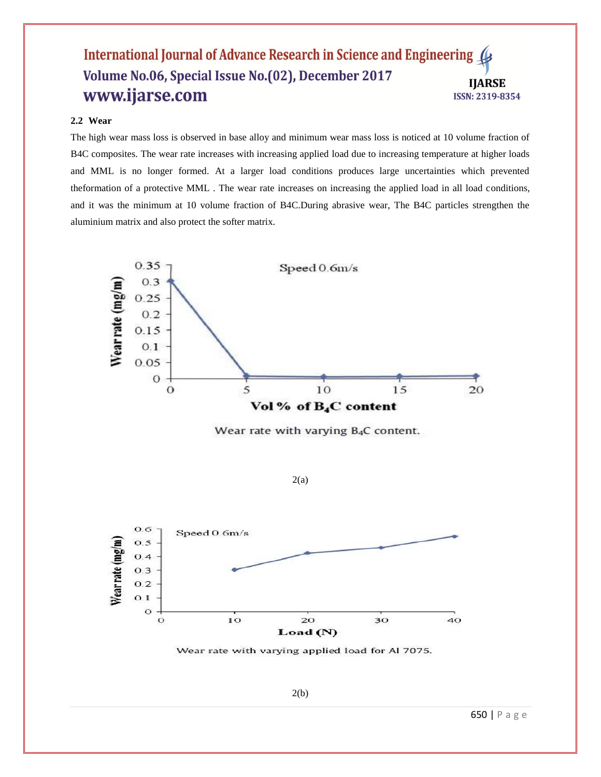## **2.2 Wear**

The high wear mass loss is observed in base alloy and minimum wear mass loss is noticed at 10 volume fraction of B4C composites. The wear rate increases with increasing applied load due to increasing temperature at higher loads and MML is no longer formed. At a larger load conditions produces large uncertainties which prevented theformation of a protective MML . The wear rate increases on increasing the applied load in all load conditions, and it was the minimum at 10 volume fraction of B4C.During abrasive wear, The B4C particles strengthen the aluminium matrix and also protect the softer matrix.



Wear rate with varying B<sub>4</sub>C content.

 $2(a)$ 



Wear rate with varying applied load for Al 7075.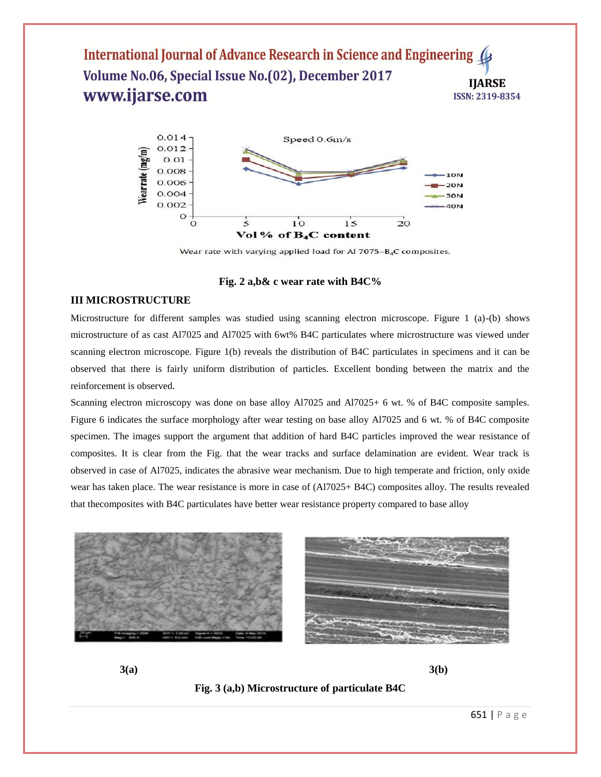

Wear rate with varying applied load for Al 7075-B<sub>4</sub>C composites.

#### **Fig. 2 a,b& c wear rate with B4C%**

#### **III MICROSTRUCTURE**

Microstructure for different samples was studied using scanning electron microscope. Figure 1 (a)-(b) shows microstructure of as cast Al7025 and Al7025 with 6wt% B4C particulates where microstructure was viewed under scanning electron microscope. Figure 1(b) reveals the distribution of B4C particulates in specimens and it can be observed that there is fairly uniform distribution of particles. Excellent bonding between the matrix and the reinforcement is observed.

Scanning electron microscopy was done on base alloy Al7025 and Al7025+ 6 wt. % of B4C composite samples. Figure 6 indicates the surface morphology after wear testing on base alloy Al7025 and 6 wt. % of B4C composite specimen. The images support the argument that addition of hard B4C particles improved the wear resistance of composites. It is clear from the Fig. that the wear tracks and surface delamination are evident. Wear track is observed in case of Al7025, indicates the abrasive wear mechanism. Due to high temperate and friction, only oxide wear has taken place. The wear resistance is more in case of (Al7025+ B4C) composites alloy. The results revealed that thecomposites with B4C particulates have better wear resistance property compared to base alloy





**3(a) 3(b)**

**Fig. 3 (a,b) Microstructure of particulate B4C**